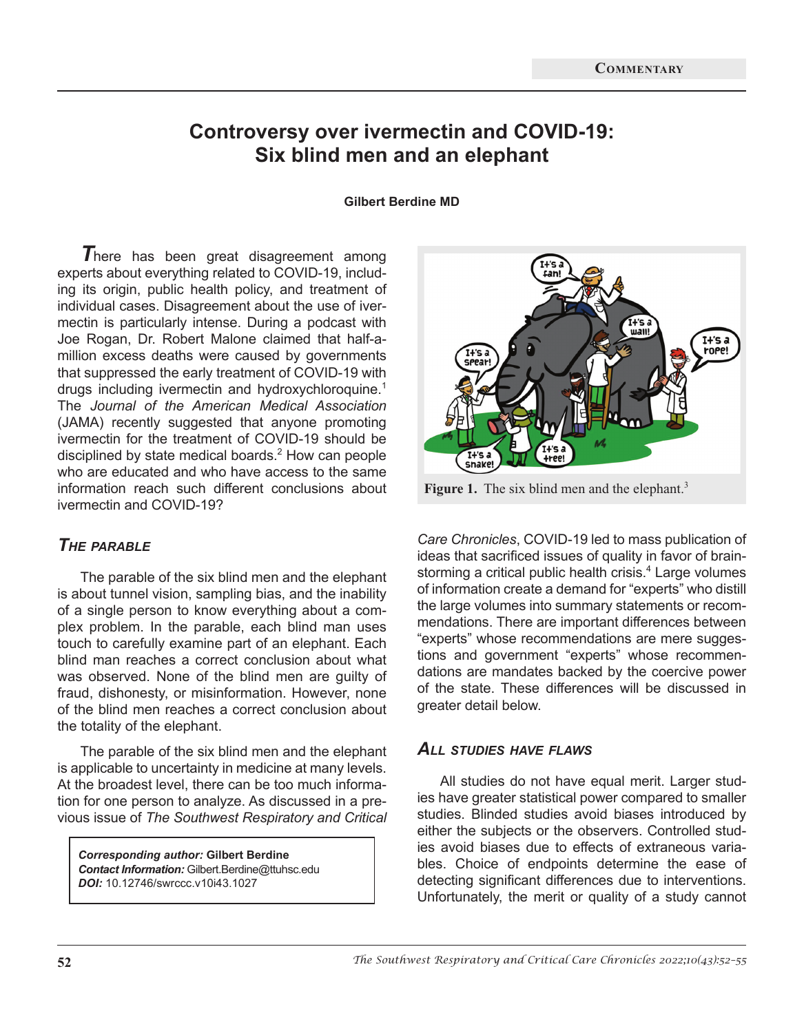# **Controversy over ivermectin and COVID-19: Six blind men and an elephant**

**Gilbert Berdine MD**

*T*here has been great disagreement among experts about everything related to COVID-19, including its origin, public health policy, and treatment of individual cases. Disagreement about the use of ivermectin is particularly intense. During a podcast with Joe Rogan, Dr. Robert Malone claimed that half-amillion excess deaths were caused by governments that suppressed the early treatment of COVID-19 with drugs including ivermectin and hydroxychloroquine.<sup>1</sup> The *Journal of the American Medical Association* (JAMA) recently suggested that anyone promoting ivermectin for the treatment of COVID-19 should be disciplined by state medical boards. $<sup>2</sup>$  How can people</sup> who are educated and who have access to the same information reach such different conclusions about ivermectin and COVID-19?

## *The parable*

The parable of the six blind men and the elephant is about tunnel vision, sampling bias, and the inability of a single person to know everything about a complex problem. In the parable, each blind man uses touch to carefully examine part of an elephant. Each blind man reaches a correct conclusion about what was observed. None of the blind men are guilty of fraud, dishonesty, or misinformation. However, none of the blind men reaches a correct conclusion about the totality of the elephant.

The parable of the six blind men and the elephant is applicable to uncertainty in medicine at many levels. At the broadest level, there can be too much information for one person to analyze. As discussed in a previous issue of *The Southwest Respiratory and Critical* 

*Corresponding author:* **Gilbert Berdine** *Contact Information:* Gilbert.Berdine@ttuhsc.edu *DOI:* 10.12746/swrccc.v10i43.1027



Figure 1. The six blind men and the elephant.<sup>3</sup>

*Care Chronicles*, COVID-19 led to mass publication of ideas that sacrificed issues of quality in favor of brainstorming a critical public health crisis.<sup>4</sup> Large volumes of information create a demand for "experts" who distill the large volumes into summary statements or recommendations. There are important differences between "experts" whose recommendations are mere suggestions and government "experts" whose recommendations are mandates backed by the coercive power of the state. These differences will be discussed in greater detail below.

#### *All studies have flaws*

All studies do not have equal merit. Larger studies have greater statistical power compared to smaller studies. Blinded studies avoid biases introduced by either the subjects or the observers. Controlled studies avoid biases due to effects of extraneous variables. Choice of endpoints determine the ease of detecting significant differences due to interventions. Unfortunately, the merit or quality of a study cannot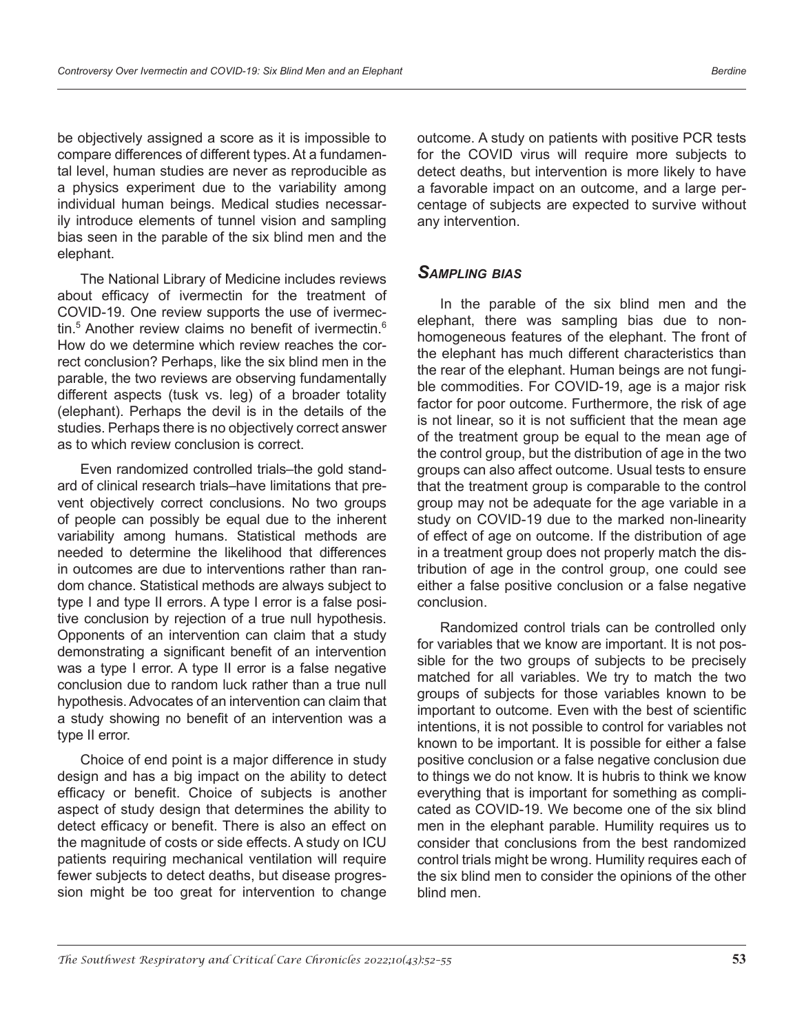be objectively assigned a score as it is impossible to compare differences of different types. At a fundamental level, human studies are never as reproducible as a physics experiment due to the variability among individual human beings. Medical studies necessarily introduce elements of tunnel vision and sampling bias seen in the parable of the six blind men and the elephant.

The National Library of Medicine includes reviews about efficacy of ivermectin for the treatment of COVID-19. One review supports the use of ivermectin.<sup>5</sup> Another review claims no benefit of ivermectin.<sup>6</sup> How do we determine which review reaches the correct conclusion? Perhaps, like the six blind men in the parable, the two reviews are observing fundamentally different aspects (tusk vs. leg) of a broader totality (elephant). Perhaps the devil is in the details of the studies. Perhaps there is no objectively correct answer as to which review conclusion is correct.

Even randomized controlled trials–the gold standard of clinical research trials–have limitations that prevent objectively correct conclusions. No two groups of people can possibly be equal due to the inherent variability among humans. Statistical methods are needed to determine the likelihood that differences in outcomes are due to interventions rather than random chance. Statistical methods are always subject to type I and type II errors. A type I error is a false positive conclusion by rejection of a true null hypothesis. Opponents of an intervention can claim that a study demonstrating a significant benefit of an intervention was a type I error. A type II error is a false negative conclusion due to random luck rather than a true null hypothesis. Advocates of an intervention can claim that a study showing no benefit of an intervention was a type II error.

Choice of end point is a major difference in study design and has a big impact on the ability to detect efficacy or benefit. Choice of subjects is another aspect of study design that determines the ability to detect efficacy or benefit. There is also an effect on the magnitude of costs or side effects. A study on ICU patients requiring mechanical ventilation will require fewer subjects to detect deaths, but disease progression might be too great for intervention to change

outcome. A study on patients with positive PCR tests for the COVID virus will require more subjects to detect deaths, but intervention is more likely to have a favorable impact on an outcome, and a large percentage of subjects are expected to survive without any intervention.

### *Sampling bias*

In the parable of the six blind men and the elephant, there was sampling bias due to nonhomogeneous features of the elephant. The front of the elephant has much different characteristics than the rear of the elephant. Human beings are not fungible commodities. For COVID-19, age is a major risk factor for poor outcome. Furthermore, the risk of age is not linear, so it is not sufficient that the mean age of the treatment group be equal to the mean age of the control group, but the distribution of age in the two groups can also affect outcome. Usual tests to ensure that the treatment group is comparable to the control group may not be adequate for the age variable in a study on COVID-19 due to the marked non-linearity of effect of age on outcome. If the distribution of age in a treatment group does not properly match the distribution of age in the control group, one could see either a false positive conclusion or a false negative conclusion.

Randomized control trials can be controlled only for variables that we know are important. It is not possible for the two groups of subjects to be precisely matched for all variables. We try to match the two groups of subjects for those variables known to be important to outcome. Even with the best of scientific intentions, it is not possible to control for variables not known to be important. It is possible for either a false positive conclusion or a false negative conclusion due to things we do not know. It is hubris to think we know everything that is important for something as complicated as COVID-19. We become one of the six blind men in the elephant parable. Humility requires us to consider that conclusions from the best randomized control trials might be wrong. Humility requires each of the six blind men to consider the opinions of the other blind men.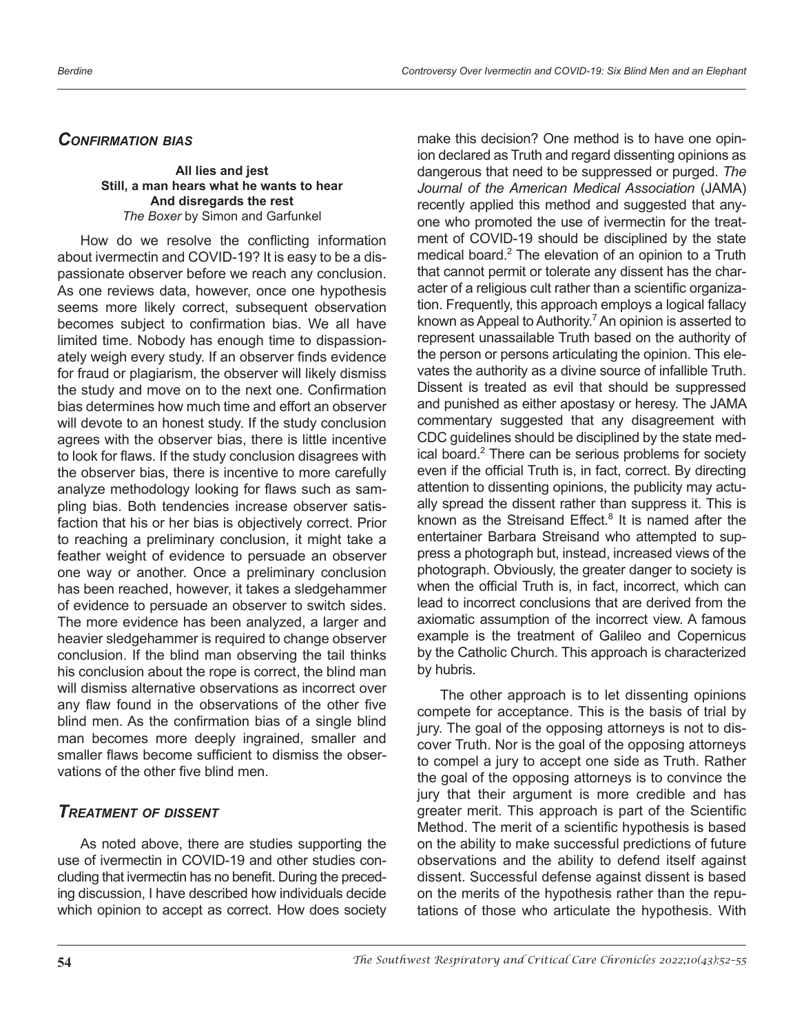### *Confirmation bias*

#### **All lies and jest Still, a man hears what he wants to hear And disregards the rest** *The Boxer* by Simon and Garfunkel

How do we resolve the conflicting information about ivermectin and COVID-19? It is easy to be a dispassionate observer before we reach any conclusion. As one reviews data, however, once one hypothesis seems more likely correct, subsequent observation becomes subject to confirmation bias. We all have limited time. Nobody has enough time to dispassionately weigh every study. If an observer finds evidence for fraud or plagiarism, the observer will likely dismiss the study and move on to the next one. Confirmation bias determines how much time and effort an observer will devote to an honest study. If the study conclusion agrees with the observer bias, there is little incentive to look for flaws. If the study conclusion disagrees with the observer bias, there is incentive to more carefully analyze methodology looking for flaws such as sampling bias. Both tendencies increase observer satisfaction that his or her bias is objectively correct. Prior to reaching a preliminary conclusion, it might take a feather weight of evidence to persuade an observer one way or another. Once a preliminary conclusion has been reached, however, it takes a sledgehammer of evidence to persuade an observer to switch sides. The more evidence has been analyzed, a larger and heavier sledgehammer is required to change observer conclusion. If the blind man observing the tail thinks his conclusion about the rope is correct, the blind man will dismiss alternative observations as incorrect over any flaw found in the observations of the other five blind men. As the confirmation bias of a single blind man becomes more deeply ingrained, smaller and smaller flaws become sufficient to dismiss the observations of the other five blind men.

### *Treatment of dissent*

As noted above, there are studies supporting the use of ivermectin in COVID-19 and other studies concluding that ivermectin has no benefit. During the preceding discussion, I have described how individuals decide which opinion to accept as correct. How does society make this decision? One method is to have one opinion declared as Truth and regard dissenting opinions as dangerous that need to be suppressed or purged. *The Journal of the American Medical Association* (JAMA) recently applied this method and suggested that anyone who promoted the use of ivermectin for the treatment of COVID-19 should be disciplined by the state medical board.<sup>2</sup> The elevation of an opinion to a Truth that cannot permit or tolerate any dissent has the character of a religious cult rather than a scientific organization. Frequently, this approach employs a logical fallacy known as Appeal to Authority.<sup>7</sup> An opinion is asserted to represent unassailable Truth based on the authority of the person or persons articulating the opinion. This elevates the authority as a divine source of infallible Truth. Dissent is treated as evil that should be suppressed and punished as either apostasy or heresy. The JAMA commentary suggested that any disagreement with CDC guidelines should be disciplined by the state medical board.<sup>2</sup> There can be serious problems for society even if the official Truth is, in fact, correct. By directing attention to dissenting opinions, the publicity may actually spread the dissent rather than suppress it. This is known as the Streisand Effect.<sup>8</sup> It is named after the entertainer Barbara Streisand who attempted to suppress a photograph but, instead, increased views of the photograph. Obviously, the greater danger to society is when the official Truth is, in fact, incorrect, which can lead to incorrect conclusions that are derived from the axiomatic assumption of the incorrect view. A famous example is the treatment of Galileo and Copernicus by the Catholic Church. This approach is characterized by hubris.

The other approach is to let dissenting opinions compete for acceptance. This is the basis of trial by jury. The goal of the opposing attorneys is not to discover Truth. Nor is the goal of the opposing attorneys to compel a jury to accept one side as Truth. Rather the goal of the opposing attorneys is to convince the jury that their argument is more credible and has greater merit. This approach is part of the Scientific Method. The merit of a scientific hypothesis is based on the ability to make successful predictions of future observations and the ability to defend itself against dissent. Successful defense against dissent is based on the merits of the hypothesis rather than the reputations of those who articulate the hypothesis. With